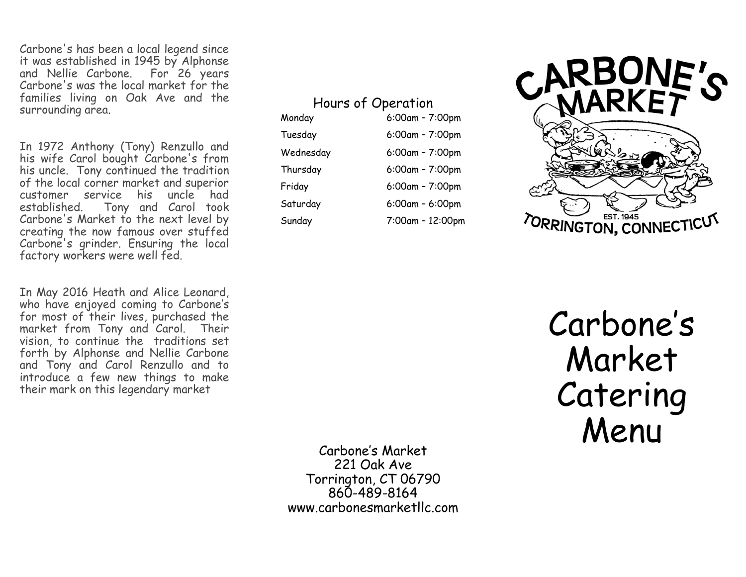Carbone's has been a local legend since it was established in 1945 by Alphonse and Nellie Carbone. For 26 years Carbone's was the local market for the families living on Oak Ave and the surrounding area.

In 1972 Anthony (Tony) Renzullo and his wife Carol bought Carbone's from his uncle. Tony continued the tradition of the local corner market and superior customer service his uncle had established. Tony and Carol took Carbone's Market to the next level by creating the now famous over stuffed Carbone's grinder. Ensuring the local factory workers were well fed.

In May 2016 Heath and Alice Leonard, who have enjoyed coming to Carbone 's for most of their lives, purchased the market from Tony and Carol. Their vision, to continue the traditions set forth by Alphonse and Nellie Carbone and Tony and Carol Renzullo and to introduce a few new things to make their mark on this legendary market

Hours of Operation

Monday 6:00am – 7:00pm Tuesday Wednesday Thursday Friday 6:00am – 7:00pm Saturday Sunday 7:00am – 12:00pm

 $6:00$ am -  $7:00$ pm – 7:00pm  $6:00$ am -  $7:00$ pm  $6:00$ am -  $6:00$ pm



Carbone 's Market Catering Menu

Carbone 's Market 221 Oak Ave Torrington, CT 06790 860 -489 -8164 www.carbonesmarketllc.com